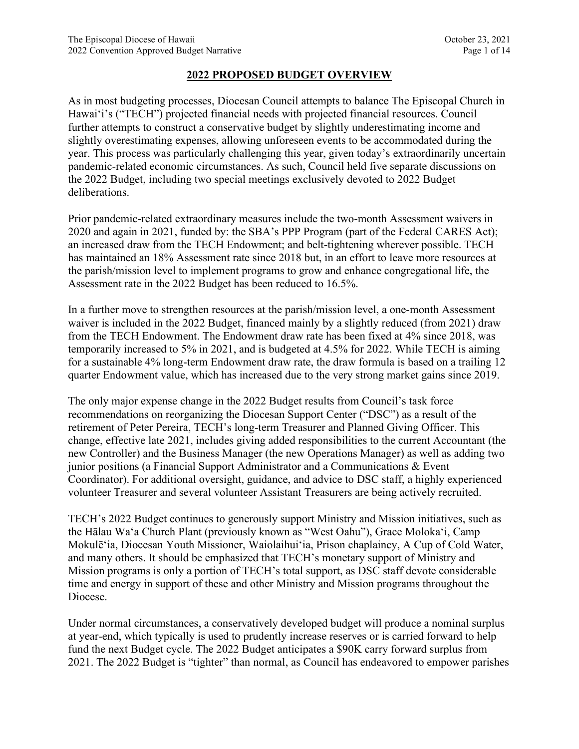## **2022 PROPOSED BUDGET OVERVIEW**

As in most budgeting processes, Diocesan Council attempts to balance The Episcopal Church in Hawai'i's ("TECH") projected financial needs with projected financial resources. Council further attempts to construct a conservative budget by slightly underestimating income and slightly overestimating expenses, allowing unforeseen events to be accommodated during the year. This process was particularly challenging this year, given today's extraordinarily uncertain pandemic-related economic circumstances. As such, Council held five separate discussions on the 2022 Budget, including two special meetings exclusively devoted to 2022 Budget deliberations.

Prior pandemic-related extraordinary measures include the two-month Assessment waivers in 2020 and again in 2021, funded by: the SBA's PPP Program (part of the Federal CARES Act); an increased draw from the TECH Endowment; and belt-tightening wherever possible. TECH has maintained an 18% Assessment rate since 2018 but, in an effort to leave more resources at the parish/mission level to implement programs to grow and enhance congregational life, the Assessment rate in the 2022 Budget has been reduced to 16.5%.

In a further move to strengthen resources at the parish/mission level, a one-month Assessment waiver is included in the 2022 Budget, financed mainly by a slightly reduced (from 2021) draw from the TECH Endowment. The Endowment draw rate has been fixed at 4% since 2018, was temporarily increased to 5% in 2021, and is budgeted at 4.5% for 2022. While TECH is aiming for a sustainable 4% long-term Endowment draw rate, the draw formula is based on a trailing 12 quarter Endowment value, which has increased due to the very strong market gains since 2019.

The only major expense change in the 2022 Budget results from Council's task force recommendations on reorganizing the Diocesan Support Center ("DSC") as a result of the retirement of Peter Pereira, TECH's long-term Treasurer and Planned Giving Officer. This change, effective late 2021, includes giving added responsibilities to the current Accountant (the new Controller) and the Business Manager (the new Operations Manager) as well as adding two junior positions (a Financial Support Administrator and a Communications & Event Coordinator). For additional oversight, guidance, and advice to DSC staff, a highly experienced volunteer Treasurer and several volunteer Assistant Treasurers are being actively recruited.

TECH's 2022 Budget continues to generously support Ministry and Mission initiatives, such as the Hālau Wa'a Church Plant (previously known as "West Oahu"), Grace Moloka'i, Camp Mokulē'ia, Diocesan Youth Missioner, Waiolaihui'ia, Prison chaplaincy, A Cup of Cold Water, and many others. It should be emphasized that TECH's monetary support of Ministry and Mission programs is only a portion of TECH's total support, as DSC staff devote considerable time and energy in support of these and other Ministry and Mission programs throughout the Diocese.

Under normal circumstances, a conservatively developed budget will produce a nominal surplus at year-end, which typically is used to prudently increase reserves or is carried forward to help fund the next Budget cycle. The 2022 Budget anticipates a \$90K carry forward surplus from 2021. The 2022 Budget is "tighter" than normal, as Council has endeavored to empower parishes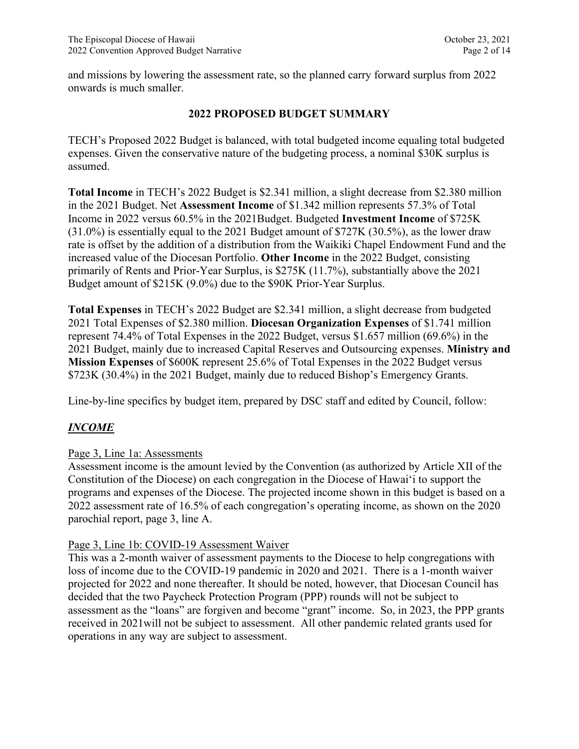and missions by lowering the assessment rate, so the planned carry forward surplus from 2022 onwards is much smaller.

## **2022 PROPOSED BUDGET SUMMARY**

TECH's Proposed 2022 Budget is balanced, with total budgeted income equaling total budgeted expenses. Given the conservative nature of the budgeting process, a nominal \$30K surplus is assumed.

**Total Income** in TECH's 2022 Budget is \$2.341 million, a slight decrease from \$2.380 million in the 2021 Budget. Net **Assessment Income** of \$1.342 million represents 57.3% of Total Income in 2022 versus 60.5% in the 2021Budget. Budgeted **Investment Income** of \$725K (31.0%) is essentially equal to the 2021 Budget amount of \$727K (30.5%), as the lower draw rate is offset by the addition of a distribution from the Waikiki Chapel Endowment Fund and the increased value of the Diocesan Portfolio. **Other Income** in the 2022 Budget, consisting primarily of Rents and Prior-Year Surplus, is \$275K (11.7%), substantially above the 2021 Budget amount of \$215K (9.0%) due to the \$90K Prior-Year Surplus.

**Total Expenses** in TECH's 2022 Budget are \$2.341 million, a slight decrease from budgeted 2021 Total Expenses of \$2.380 million. **Diocesan Organization Expenses** of \$1.741 million represent 74.4% of Total Expenses in the 2022 Budget, versus \$1.657 million (69.6%) in the 2021 Budget, mainly due to increased Capital Reserves and Outsourcing expenses. **Ministry and Mission Expenses** of \$600K represent 25.6% of Total Expenses in the 2022 Budget versus \$723K (30.4%) in the 2021 Budget, mainly due to reduced Bishop's Emergency Grants.

Line-by-line specifics by budget item, prepared by DSC staff and edited by Council, follow:

# *INCOME*

## Page 3, Line 1a: Assessments

Assessment income is the amount levied by the Convention (as authorized by Article XII of the Constitution of the Diocese) on each congregation in the Diocese of Hawai'i to support the programs and expenses of the Diocese. The projected income shown in this budget is based on a 2022 assessment rate of 16.5% of each congregation's operating income, as shown on the 2020 parochial report, page 3, line A.

## Page 3, Line 1b: COVID-19 Assessment Waiver

This was a 2-month waiver of assessment payments to the Diocese to help congregations with loss of income due to the COVID-19 pandemic in 2020 and 2021. There is a 1-month waiver projected for 2022 and none thereafter. It should be noted, however, that Diocesan Council has decided that the two Paycheck Protection Program (PPP) rounds will not be subject to assessment as the "loans" are forgiven and become "grant" income. So, in 2023, the PPP grants received in 2021will not be subject to assessment. All other pandemic related grants used for operations in any way are subject to assessment.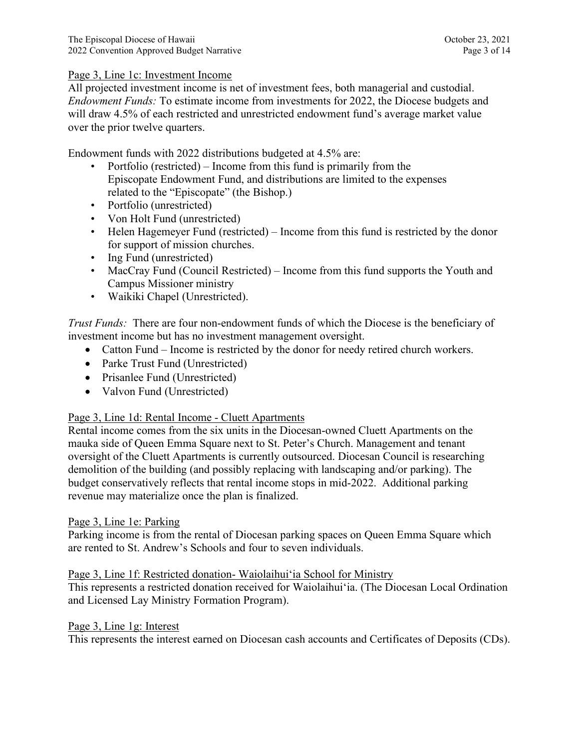## Page 3, Line 1c: Investment Income

All projected investment income is net of investment fees, both managerial and custodial. *Endowment Funds:* To estimate income from investments for 2022, the Diocese budgets and will draw 4.5% of each restricted and unrestricted endowment fund's average market value over the prior twelve quarters.

Endowment funds with 2022 distributions budgeted at 4.5% are:

- Portfolio (restricted) Income from this fund is primarily from the Episcopate Endowment Fund, and distributions are limited to the expenses related to the "Episcopate" (the Bishop.)
- Portfolio (unrestricted)
- Von Holt Fund (unrestricted)
- Helen Hagemeyer Fund (restricted) Income from this fund is restricted by the donor for support of mission churches.
- Ing Fund (unrestricted)
- MacCray Fund (Council Restricted) Income from this fund supports the Youth and Campus Missioner ministry
- Waikiki Chapel (Unrestricted).

*Trust Funds:* There are four non-endowment funds of which the Diocese is the beneficiary of investment income but has no investment management oversight.

- Catton Fund Income is restricted by the donor for needy retired church workers.
- Parke Trust Fund (Unrestricted)
- Prisanlee Fund (Unrestricted)
- Valvon Fund (Unrestricted)

## Page 3, Line 1d: Rental Income - Cluett Apartments

Rental income comes from the six units in the Diocesan-owned Cluett Apartments on the mauka side of Queen Emma Square next to St. Peter's Church. Management and tenant oversight of the Cluett Apartments is currently outsourced. Diocesan Council is researching demolition of the building (and possibly replacing with landscaping and/or parking). The budget conservatively reflects that rental income stops in mid-2022. Additional parking revenue may materialize once the plan is finalized.

### Page 3, Line 1e: Parking

Parking income is from the rental of Diocesan parking spaces on Queen Emma Square which are rented to St. Andrew's Schools and four to seven individuals.

### Page 3, Line 1f: Restricted donation- Waiolaihuiʻia School for Ministry

This represents a restricted donation received for Waiolaihuiʻia. (The Diocesan Local Ordination and Licensed Lay Ministry Formation Program).

### Page 3, Line 1g: Interest

This represents the interest earned on Diocesan cash accounts and Certificates of Deposits (CDs).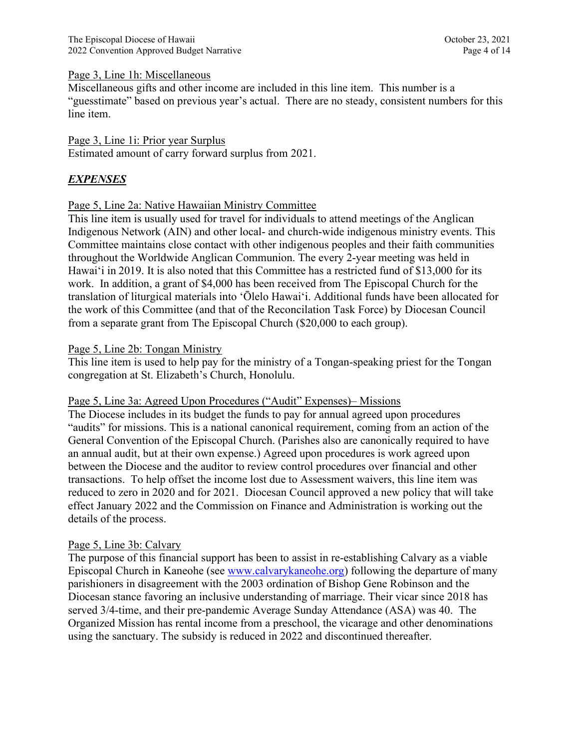### Page 3, Line 1h: Miscellaneous

Miscellaneous gifts and other income are included in this line item. This number is a "guesstimate" based on previous year's actual. There are no steady, consistent numbers for this line item.

### Page 3, Line 1i: Prior year Surplus

Estimated amount of carry forward surplus from 2021.

## *EXPENSES*

### Page 5, Line 2a: Native Hawaiian Ministry Committee

This line item is usually used for travel for individuals to attend meetings of the Anglican Indigenous Network (AIN) and other local- and church-wide indigenous ministry events. This Committee maintains close contact with other indigenous peoples and their faith communities throughout the Worldwide Anglican Communion. The every 2-year meeting was held in Hawai'i in 2019. It is also noted that this Committee has a restricted fund of \$13,000 for its work. In addition, a grant of \$4,000 has been received from The Episcopal Church for the translation of liturgical materials into ʻŌlelo Hawaiʻi. Additional funds have been allocated for the work of this Committee (and that of the Reconcilation Task Force) by Diocesan Council from a separate grant from The Episcopal Church (\$20,000 to each group).

### Page 5, Line 2b: Tongan Ministry

This line item is used to help pay for the ministry of a Tongan-speaking priest for the Tongan congregation at St. Elizabeth's Church, Honolulu.

### Page 5, Line 3a: Agreed Upon Procedures ("Audit" Expenses)– Missions

The Diocese includes in its budget the funds to pay for annual agreed upon procedures "audits" for missions. This is a national canonical requirement, coming from an action of the General Convention of the Episcopal Church. (Parishes also are canonically required to have an annual audit, but at their own expense.) Agreed upon procedures is work agreed upon between the Diocese and the auditor to review control procedures over financial and other transactions. To help offset the income lost due to Assessment waivers, this line item was reduced to zero in 2020 and for 2021. Diocesan Council approved a new policy that will take effect January 2022 and the Commission on Finance and Administration is working out the details of the process.

### Page 5, Line 3b: Calvary

The purpose of this financial support has been to assist in re-establishing Calvary as a viable Episcopal Church in Kaneohe (see [www.calvarykaneohe.org\)](http://www.calvarykaneohe.org/) following the departure of many parishioners in disagreement with the 2003 ordination of Bishop Gene Robinson and the Diocesan stance favoring an inclusive understanding of marriage. Their vicar since 2018 has served 3/4-time, and their pre-pandemic Average Sunday Attendance (ASA) was 40. The Organized Mission has rental income from a preschool, the vicarage and other denominations using the sanctuary. The subsidy is reduced in 2022 and discontinued thereafter.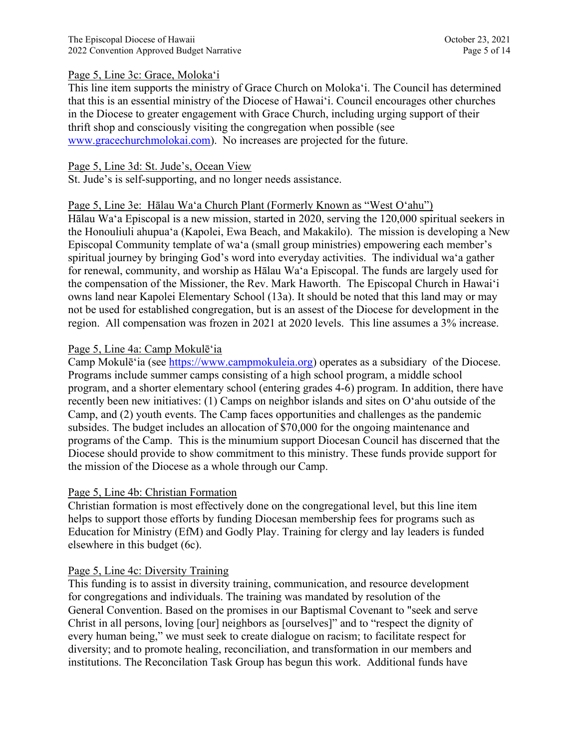### Page 5, Line 3c: Grace, Moloka'i

This line item supports the ministry of Grace Church on Moloka'i. The Council has determined that this is an essential ministry of the Diocese of Hawaiʻi. Council encourages other churches in the Diocese to greater engagement with Grace Church, including urging support of their thrift shop and consciously visiting the congregation when possible (see [www.gracechurchmolokai.com\)](http://www.gracechurchmolokai.com/). No increases are projected for the future.

## Page 5, Line 3d: St. Jude's, Ocean View

St. Jude's is self-supporting, and no longer needs assistance.

## Page 5, Line 3e: Hālau Wa'a Church Plant (Formerly Known as "West O'ahu")

Hālau Wa'a Episcopal is a new mission, started in 2020, serving the 120,000 spiritual seekers in the Honouliuli ahupua'a (Kapolei, Ewa Beach, and Makakilo). The mission is developing a New Episcopal Community template of wa'a (small group ministries) empowering each member's spiritual journey by bringing God's word into everyday activities. The individual wa'a gather for renewal, community, and worship as Hālau Wa'a Episcopal. The funds are largely used for the compensation of the Missioner, the Rev. Mark Haworth. The Episcopal Church in Hawaiʻi owns land near Kapolei Elementary School (13a). It should be noted that this land may or may not be used for established congregation, but is an assest of the Diocese for development in the region. All compensation was frozen in 2021 at 2020 levels. This line assumes a 3% increase.

## Page 5, Line 4a: Camp Mokulēʻia

Camp Mokulēʻia (see [https://www.campmokuleia.org\)](https://www.campmokuleia.org/) operates as a subsidiary of the Diocese. Programs include summer camps consisting of a high school program, a middle school program, and a shorter elementary school (entering grades 4-6) program. In addition, there have recently been new initiatives: (1) Camps on neighbor islands and sites on Oʻahu outside of the Camp, and (2) youth events. The Camp faces opportunities and challenges as the pandemic subsides. The budget includes an allocation of \$70,000 for the ongoing maintenance and programs of the Camp. This is the minumium support Diocesan Council has discerned that the Diocese should provide to show commitment to this ministry. These funds provide support for the mission of the Diocese as a whole through our Camp.

### Page 5, Line 4b: Christian Formation

Christian formation is most effectively done on the congregational level, but this line item helps to support those efforts by funding Diocesan membership fees for programs such as Education for Ministry (EfM) and Godly Play. Training for clergy and lay leaders is funded elsewhere in this budget (6c).

## Page 5, Line 4c: Diversity Training

This funding is to assist in diversity training, communication, and resource development for congregations and individuals. The training was mandated by resolution of the General Convention. Based on the promises in our Baptismal Covenant to "seek and serve Christ in all persons, loving [our] neighbors as [ourselves]" and to "respect the dignity of every human being," we must seek to create dialogue on racism; to facilitate respect for diversity; and to promote healing, reconciliation, and transformation in our members and institutions. The Reconcilation Task Group has begun this work. Additional funds have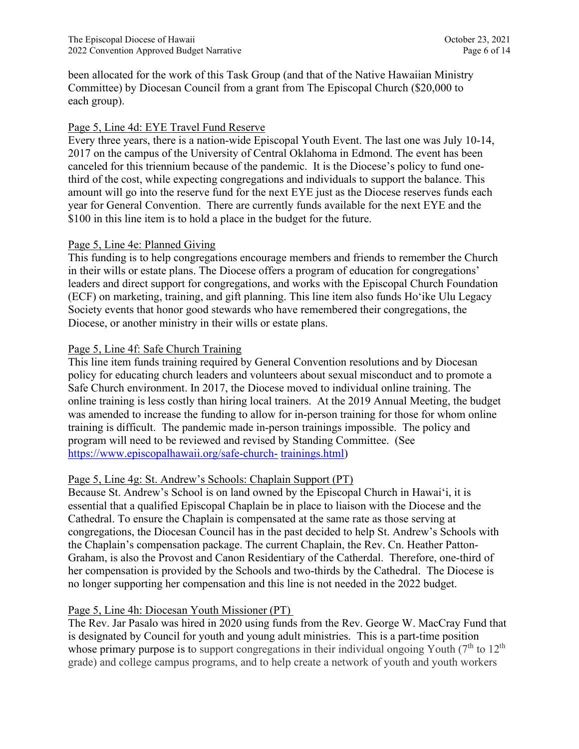been allocated for the work of this Task Group (and that of the Native Hawaiian Ministry Committee) by Diocesan Council from a grant from The Episcopal Church (\$20,000 to each group).

## Page 5, Line 4d: EYE Travel Fund Reserve

Every three years, there is a nation-wide Episcopal Youth Event. The last one was July 10-14, 2017 on the campus of the University of Central Oklahoma in Edmond. The event has been canceled for this triennium because of the pandemic. It is the Diocese's policy to fund onethird of the cost, while expecting congregations and individuals to support the balance. This amount will go into the reserve fund for the next EYE just as the Diocese reserves funds each year for General Convention. There are currently funds available for the next EYE and the \$100 in this line item is to hold a place in the budget for the future.

## Page 5, Line 4e: Planned Giving

This funding is to help congregations encourage members and friends to remember the Church in their wills or estate plans. The Diocese offers a program of education for congregations' leaders and direct support for congregations, and works with the Episcopal Church Foundation (ECF) on marketing, training, and gift planning. This line item also funds Hoʻike Ulu Legacy Society events that honor good stewards who have remembered their congregations, the Diocese, or another ministry in their wills or estate plans.

# Page 5, Line 4f: Safe Church Training

This line item funds training required by General Convention resolutions and by Diocesan policy for educating church leaders and volunteers about sexual misconduct and to promote a Safe Church environment. In 2017, the Diocese moved to individual online training. The online training is less costly than hiring local trainers. At the 2019 Annual Meeting, the budget was amended to increase the funding to allow for in-person training for those for whom online training is difficult. The pandemic made in-person trainings impossible. The policy and program will need to be reviewed and revised by Standing Committee. (See https:/[/www.episcopalhawaii.org/safe-church-](http://www.episcopalhawaii.org/safe-church-) trainings.html)

## Page 5, Line 4g: St. Andrew's Schools: Chaplain Support (PT)

Because St. Andrew's School is on land owned by the Episcopal Church in Hawaiʻi, it is essential that a qualified Episcopal Chaplain be in place to liaison with the Diocese and the Cathedral. To ensure the Chaplain is compensated at the same rate as those serving at congregations, the Diocesan Council has in the past decided to help St. Andrew's Schools with the Chaplain's compensation package. The current Chaplain, the Rev. Cn. Heather Patton-Graham, is also the Provost and Canon Residentiary of the Catherdal. Therefore, one-third of her compensation is provided by the Schools and two-thirds by the Cathedral. The Diocese is no longer supporting her compensation and this line is not needed in the 2022 budget.

# Page 5, Line 4h: Diocesan Youth Missioner (PT)

The Rev. Jar Pasalo was hired in 2020 using funds from the Rev. George W. MacCray Fund that is designated by Council for youth and young adult ministries. This is a part-time position whose primary purpose is to support congregations in their individual ongoing Youth  $(7<sup>th</sup>$  to  $12<sup>th</sup>$ grade) and college campus programs, and to help create a network of youth and youth workers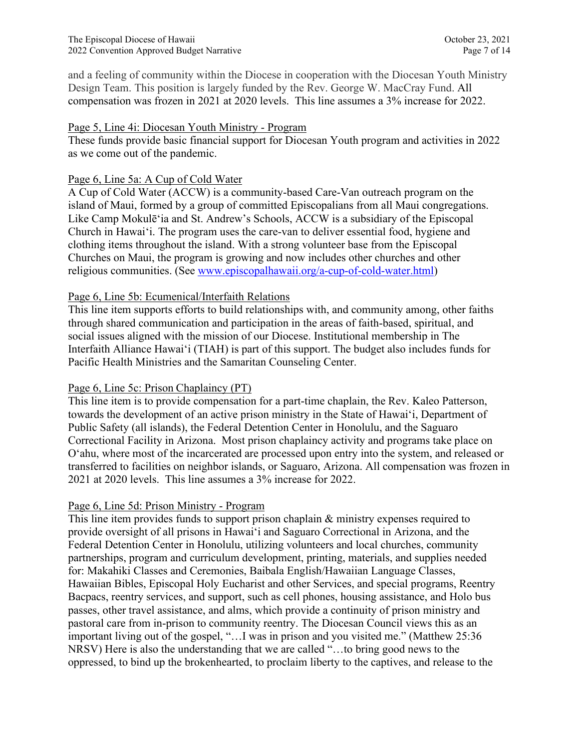and a feeling of community within the Diocese in cooperation with the Diocesan Youth Ministry Design Team. This position is largely funded by the Rev. George W. MacCray Fund. All compensation was frozen in 2021 at 2020 levels. This line assumes a 3% increase for 2022.

## Page 5, Line 4i: Diocesan Youth Ministry - Program

These funds provide basic financial support for Diocesan Youth program and activities in 2022 as we come out of the pandemic.

# Page 6, Line 5a: A Cup of Cold Water

A Cup of Cold Water (ACCW) is a community-based Care-Van outreach program on the island of Maui, formed by a group of committed Episcopalians from all Maui congregations. Like Camp Mokulēʻia and St. Andrew's Schools, ACCW is a subsidiary of the Episcopal Church in Hawaiʻi. The program uses the care-van to deliver essential food, hygiene and clothing items throughout the island. With a strong volunteer base from the Episcopal Churches on Maui, the program is growing and now includes other churches and other religious communities. (See [www.episcopalhawaii.org/a-cup-of-cold-water.html\)](http://www.episcopalhawaii.org/a-cup-of-cold-water.html))

# Page 6, Line 5b: Ecumenical/Interfaith Relations

This line item supports efforts to build relationships with, and community among, other faiths through shared communication and participation in the areas of faith-based, spiritual, and social issues aligned with the mission of our Diocese. Institutional membership in The Interfaith Alliance Hawaiʻi (TIAH) is part of this support. The budget also includes funds for Pacific Health Ministries and the Samaritan Counseling Center.

# Page 6, Line 5c: Prison Chaplaincy (PT)

This line item is to provide compensation for a part-time chaplain, the Rev. Kaleo Patterson, towards the development of an active prison ministry in the State of Hawai'i, Department of Public Safety (all islands), the Federal Detention Center in Honolulu, and the Saguaro Correctional Facility in Arizona. Most prison chaplaincy activity and programs take place on O'ahu, where most of the incarcerated are processed upon entry into the system, and released or transferred to facilities on neighbor islands, or Saguaro, Arizona. All compensation was frozen in 2021 at 2020 levels. This line assumes a 3% increase for 2022.

# Page 6, Line 5d: Prison Ministry - Program

This line item provides funds to support prison chaplain & ministry expenses required to provide oversight of all prisons in Hawai'i and Saguaro Correctional in Arizona, and the Federal Detention Center in Honolulu, utilizing volunteers and local churches, community partnerships, program and curriculum development, printing, materials, and supplies needed for: Makahiki Classes and Ceremonies, Baibala English/Hawaiian Language Classes, Hawaiian Bibles, Episcopal Holy Eucharist and other Services, and special programs, Reentry Bacpacs, reentry services, and support, such as cell phones, housing assistance, and Holo bus passes, other travel assistance, and alms, which provide a continuity of prison ministry and pastoral care from in-prison to community reentry. The Diocesan Council views this as an important living out of the gospel, "…I was in prison and you visited me." (Matthew 25:36 NRSV) Here is also the understanding that we are called "…to bring good news to the oppressed, to bind up the brokenhearted, to proclaim liberty to the captives, and release to the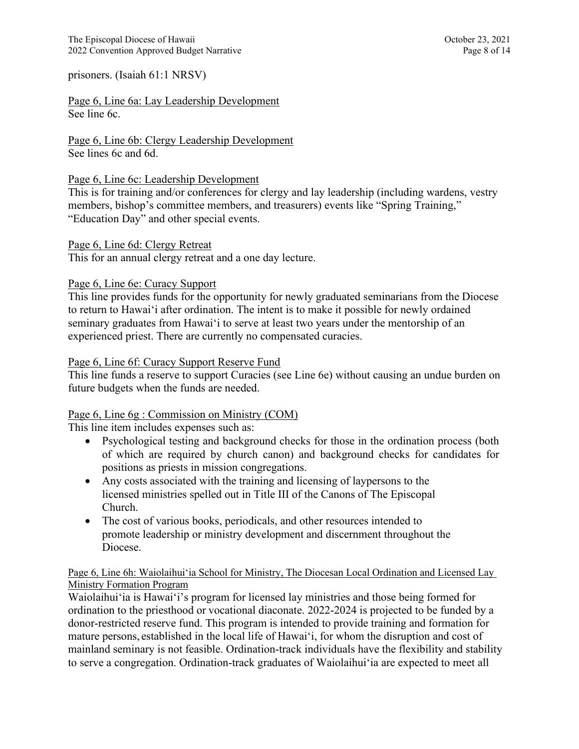prisoners. (Isaiah 61:1 NRSV)

Page 6, Line 6a: Lay Leadership Development See line 6c.

Page 6, Line 6b: Clergy Leadership Development See lines 6c and 6d.

### Page 6, Line 6c: Leadership Development

This is for training and/or conferences for clergy and lay leadership (including wardens, vestry members, bishop's committee members, and treasurers) events like "Spring Training," "Education Day" and other special events.

### Page 6, Line 6d: Clergy Retreat

This for an annual clergy retreat and a one day lecture.

### Page 6, Line 6e: Curacy Support

This line provides funds for the opportunity for newly graduated seminarians from the Diocese to return to Hawaiʻi after ordination. The intent is to make it possible for newly ordained seminary graduates from Hawaiʻi to serve at least two years under the mentorship of an experienced priest. There are currently no compensated curacies.

### Page 6, Line 6f: Curacy Support Reserve Fund

This line funds a reserve to support Curacies (see Line 6e) without causing an undue burden on future budgets when the funds are needed.

### Page 6, Line 6g : Commission on Ministry (COM)

This line item includes expenses such as:

- Psychological testing and background checks for those in the ordination process (both of which are required by church canon) and background checks for candidates for positions as priests in mission congregations.
- Any costs associated with the training and licensing of laypersons to the licensed ministries spelled out in Title III of the Canons of The Episcopal Church.
- The cost of various books, periodicals, and other resources intended to promote leadership or ministry development and discernment throughout the Diocese.

### Page 6, Line 6h: Waiolaihuiʻia School for Ministry, The Diocesan Local Ordination and Licensed Lay Ministry Formation Program

Waiolaihuiʻia is Hawai'i's program for licensed lay ministries and those being formed for ordination to the priesthood or vocational diaconate. 2022-2024 is projected to be funded by a donor-restricted reserve fund. This program is intended to provide training and formation for mature persons, established in the local life of Hawaiʻi, for whom the disruption and cost of mainland seminary is not feasible. Ordination-track individuals have the flexibility and stability to serve a congregation. Ordination-track graduates of Waiolaihuiʻia are expected to meet all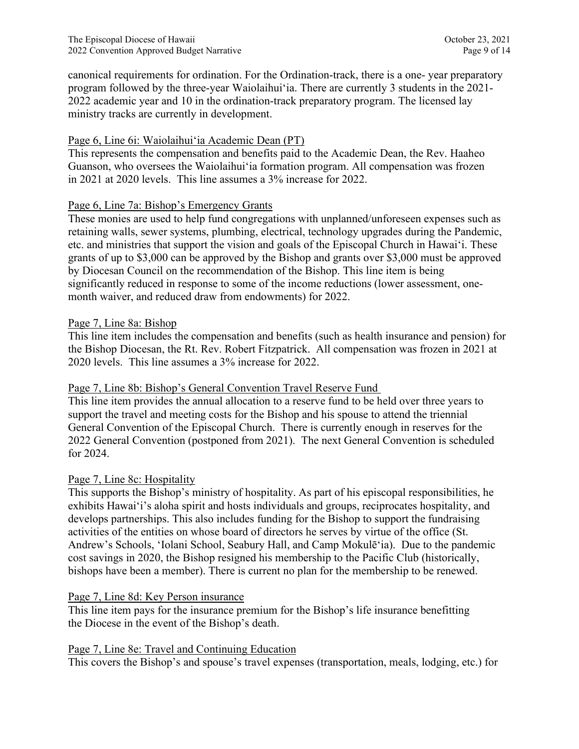canonical requirements for ordination. For the Ordination-track, there is a one- year preparatory program followed by the three-year Waiolaihuiʻia. There are currently 3 students in the 2021- 2022 academic year and 10 in the ordination-track preparatory program. The licensed lay ministry tracks are currently in development.

# Page 6, Line 6i: Waiolaihui'ia Academic Dean (PT)

This represents the compensation and benefits paid to the Academic Dean, the Rev. Haaheo Guanson, who oversees the Waiolaihui'ia formation program. All compensation was frozen in 2021 at 2020 levels. This line assumes a 3% increase for 2022.

# Page 6, Line 7a: Bishop's Emergency Grants

These monies are used to help fund congregations with unplanned/unforeseen expenses such as retaining walls, sewer systems, plumbing, electrical, technology upgrades during the Pandemic, etc. and ministries that support the vision and goals of the Episcopal Church in Hawai'i. These grants of up to \$3,000 can be approved by the Bishop and grants over \$3,000 must be approved by Diocesan Council on the recommendation of the Bishop. This line item is being significantly reduced in response to some of the income reductions (lower assessment, onemonth waiver, and reduced draw from endowments) for 2022.

# Page 7, Line 8a: Bishop

This line item includes the compensation and benefits (such as health insurance and pension) for the Bishop Diocesan, the Rt. Rev. Robert Fitzpatrick. All compensation was frozen in 2021 at 2020 levels. This line assumes a 3% increase for 2022.

# Page 7, Line 8b: Bishop's General Convention Travel Reserve Fund

This line item provides the annual allocation to a reserve fund to be held over three years to support the travel and meeting costs for the Bishop and his spouse to attend the triennial General Convention of the Episcopal Church. There is currently enough in reserves for the 2022 General Convention (postponed from 2021). The next General Convention is scheduled for 2024.

# Page 7, Line 8c: Hospitality

This supports the Bishop's ministry of hospitality. As part of his episcopal responsibilities, he exhibits Hawaiʻi's aloha spirit and hosts individuals and groups, reciprocates hospitality, and develops partnerships. This also includes funding for the Bishop to support the fundraising activities of the entities on whose board of directors he serves by virtue of the office (St. Andrew's Schools, ʻIolani School, Seabury Hall, and Camp Mokulēʻia). Due to the pandemic cost savings in 2020, the Bishop resigned his membership to the Pacific Club (historically, bishops have been a member). There is current no plan for the membership to be renewed.

# Page 7, Line 8d: Key Person insurance

This line item pays for the insurance premium for the Bishop's life insurance benefitting the Diocese in the event of the Bishop's death.

## Page 7, Line 8e: Travel and Continuing Education

This covers the Bishop's and spouse's travel expenses (transportation, meals, lodging, etc.) for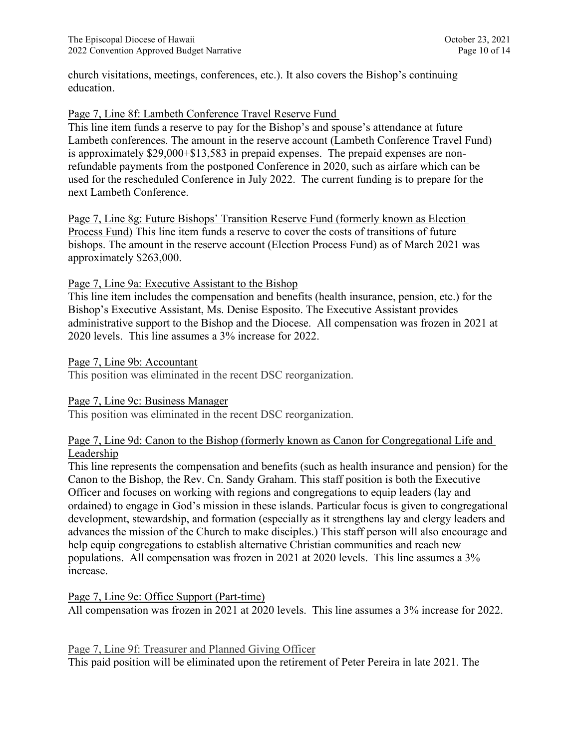church visitations, meetings, conferences, etc.). It also covers the Bishop's continuing education.

### Page 7, Line 8f: Lambeth Conference Travel Reserve Fund

This line item funds a reserve to pay for the Bishop's and spouse's attendance at future Lambeth conferences. The amount in the reserve account (Lambeth Conference Travel Fund) is approximately \$29,000+\$13,583 in prepaid expenses. The prepaid expenses are nonrefundable payments from the postponed Conference in 2020, such as airfare which can be used for the rescheduled Conference in July 2022. The current funding is to prepare for the next Lambeth Conference.

Page 7, Line 8g: Future Bishops' Transition Reserve Fund (formerly known as Election Process Fund) This line item funds a reserve to cover the costs of transitions of future bishops. The amount in the reserve account (Election Process Fund) as of March 2021 was approximately \$263,000.

### Page 7, Line 9a: Executive Assistant to the Bishop

This line item includes the compensation and benefits (health insurance, pension, etc.) for the Bishop's Executive Assistant, Ms. Denise Esposito. The Executive Assistant provides administrative support to the Bishop and the Diocese. All compensation was frozen in 2021 at 2020 levels. This line assumes a 3% increase for 2022.

Page 7, Line 9b: Accountant

This position was eliminated in the recent DSC reorganization.

### Page 7, Line 9c: Business Manager

This position was eliminated in the recent DSC reorganization.

### Page 7, Line 9d: Canon to the Bishop (formerly known as Canon for Congregational Life and Leadership

This line represents the compensation and benefits (such as health insurance and pension) for the Canon to the Bishop, the Rev. Cn. Sandy Graham. This staff position is both the Executive Officer and focuses on working with regions and congregations to equip leaders (lay and ordained) to engage in God's mission in these islands. Particular focus is given to congregational development, stewardship, and formation (especially as it strengthens lay and clergy leaders and advances the mission of the Church to make disciples.) This staff person will also encourage and help equip congregations to establish alternative Christian communities and reach new populations. All compensation was frozen in 2021 at 2020 levels. This line assumes a 3% increase.

Page 7, Line 9e: Office Support (Part-time) All compensation was frozen in 2021 at 2020 levels. This line assumes a 3% increase for 2022.

Page 7, Line 9f: Treasurer and Planned Giving Officer This paid position will be eliminated upon the retirement of Peter Pereira in late 2021. The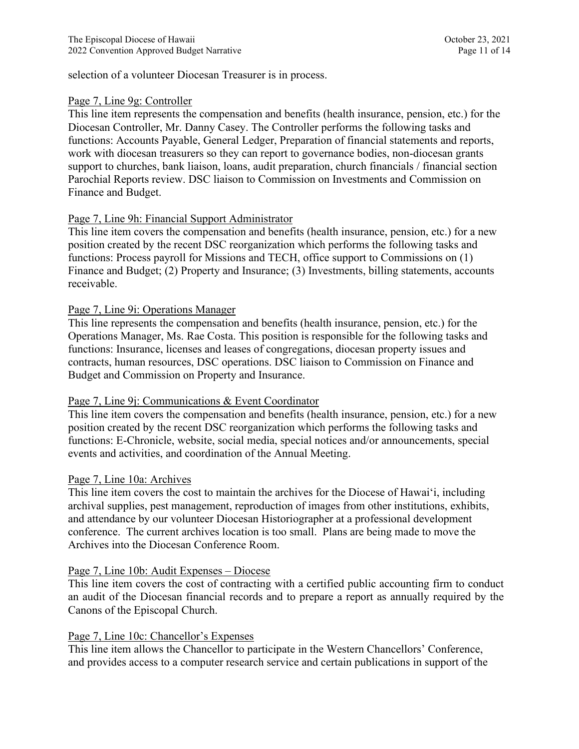selection of a volunteer Diocesan Treasurer is in process.

### Page 7, Line 9g: Controller

This line item represents the compensation and benefits (health insurance, pension, etc.) for the Diocesan Controller, Mr. Danny Casey. The Controller performs the following tasks and functions: Accounts Payable, General Ledger, Preparation of financial statements and reports, work with diocesan treasurers so they can report to governance bodies, non-diocesan grants support to churches, bank liaison, loans, audit preparation, church financials / financial section Parochial Reports review. DSC liaison to Commission on Investments and Commission on Finance and Budget.

## Page 7, Line 9h: Financial Support Administrator

This line item covers the compensation and benefits (health insurance, pension, etc.) for a new position created by the recent DSC reorganization which performs the following tasks and functions: Process payroll for Missions and TECH, office support to Commissions on (1) Finance and Budget; (2) Property and Insurance; (3) Investments, billing statements, accounts receivable.

### Page 7, Line 9i: Operations Manager

This line represents the compensation and benefits (health insurance, pension, etc.) for the Operations Manager, Ms. Rae Costa. This position is responsible for the following tasks and functions: Insurance, licenses and leases of congregations, diocesan property issues and contracts, human resources, DSC operations. DSC liaison to Commission on Finance and Budget and Commission on Property and Insurance.

### Page 7, Line 9j: Communications & Event Coordinator

This line item covers the compensation and benefits (health insurance, pension, etc.) for a new position created by the recent DSC reorganization which performs the following tasks and functions: E-Chronicle, website, social media, special notices and/or announcements, special events and activities, and coordination of the Annual Meeting.

### Page 7, Line 10a: Archives

This line item covers the cost to maintain the archives for the Diocese of Hawaiʻi, including archival supplies, pest management, reproduction of images from other institutions, exhibits, and attendance by our volunteer Diocesan Historiographer at a professional development conference. The current archives location is too small. Plans are being made to move the Archives into the Diocesan Conference Room.

### Page 7, Line 10b: Audit Expenses – Diocese

This line item covers the cost of contracting with a certified public accounting firm to conduct an audit of the Diocesan financial records and to prepare a report as annually required by the Canons of the Episcopal Church.

### Page 7, Line 10c: Chancellor's Expenses

This line item allows the Chancellor to participate in the Western Chancellors' Conference, and provides access to a computer research service and certain publications in support of the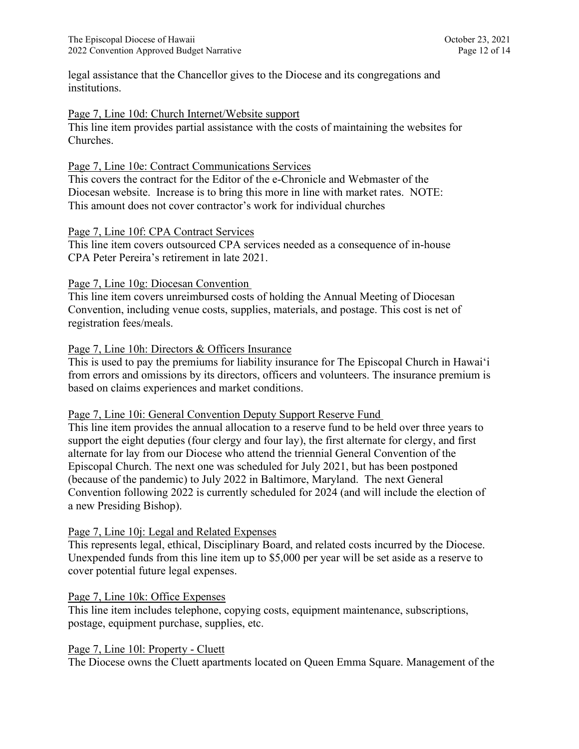legal assistance that the Chancellor gives to the Diocese and its congregations and institutions.

### Page 7, Line 10d: Church Internet/Website support

This line item provides partial assistance with the costs of maintaining the websites for Churches.

### Page 7, Line 10e: Contract Communications Services

This covers the contract for the Editor of the e-Chronicle and Webmaster of the Diocesan website. Increase is to bring this more in line with market rates. NOTE: This amount does not cover contractor's work for individual churches

### Page 7, Line 10f: CPA Contract Services

This line item covers outsourced CPA services needed as a consequence of in-house CPA Peter Pereira's retirement in late 2021.

### Page 7, Line 10g: Diocesan Convention

This line item covers unreimbursed costs of holding the Annual Meeting of Diocesan Convention, including venue costs, supplies, materials, and postage. This cost is net of registration fees/meals.

### Page 7, Line 10h: Directors & Officers Insurance

This is used to pay the premiums for liability insurance for The Episcopal Church in Hawaiʻi from errors and omissions by its directors, officers and volunteers. The insurance premium is based on claims experiences and market conditions.

#### Page 7, Line 10i: General Convention Deputy Support Reserve Fund

This line item provides the annual allocation to a reserve fund to be held over three years to support the eight deputies (four clergy and four lay), the first alternate for clergy, and first alternate for lay from our Diocese who attend the triennial General Convention of the Episcopal Church. The next one was scheduled for July 2021, but has been postponed (because of the pandemic) to July 2022 in Baltimore, Maryland. The next General Convention following 2022 is currently scheduled for 2024 (and will include the election of a new Presiding Bishop).

### Page 7, Line 10j: Legal and Related Expenses

This represents legal, ethical, Disciplinary Board, and related costs incurred by the Diocese. Unexpended funds from this line item up to \$5,000 per year will be set aside as a reserve to cover potential future legal expenses.

### Page 7, Line 10k: Office Expenses

This line item includes telephone, copying costs, equipment maintenance, subscriptions, postage, equipment purchase, supplies, etc.

### Page 7, Line 10l: Property - Cluett

The Diocese owns the Cluett apartments located on Queen Emma Square. Management of the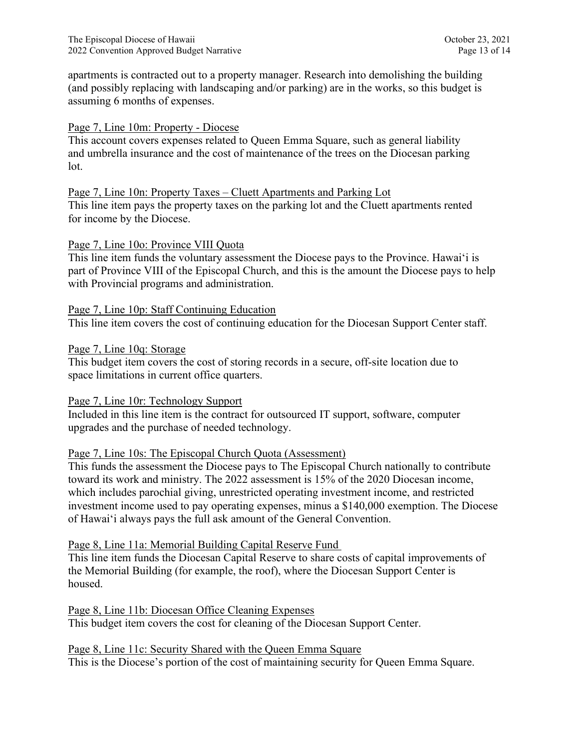apartments is contracted out to a property manager. Research into demolishing the building (and possibly replacing with landscaping and/or parking) are in the works, so this budget is assuming 6 months of expenses.

## Page 7, Line 10m: Property - Diocese

This account covers expenses related to Queen Emma Square, such as general liability and umbrella insurance and the cost of maintenance of the trees on the Diocesan parking lot.

### Page 7, Line 10n: Property Taxes – Cluett Apartments and Parking Lot

This line item pays the property taxes on the parking lot and the Cluett apartments rented for income by the Diocese.

### Page 7, Line 10o: Province VIII Quota

This line item funds the voluntary assessment the Diocese pays to the Province. Hawaiʻi is part of Province VIII of the Episcopal Church, and this is the amount the Diocese pays to help with Provincial programs and administration.

Page 7, Line 10p: Staff Continuing Education This line item covers the cost of continuing education for the Diocesan Support Center staff.

### Page 7, Line 10q: Storage

This budget item covers the cost of storing records in a secure, off-site location due to space limitations in current office quarters.

### Page 7, Line 10r: Technology Support

Included in this line item is the contract for outsourced IT support, software, computer upgrades and the purchase of needed technology.

### Page 7, Line 10s: The Episcopal Church Quota (Assessment)

This funds the assessment the Diocese pays to The Episcopal Church nationally to contribute toward its work and ministry. The 2022 assessment is 15% of the 2020 Diocesan income, which includes parochial giving, unrestricted operating investment income, and restricted investment income used to pay operating expenses, minus a \$140,000 exemption. The Diocese of Hawai'i always pays the full ask amount of the General Convention.

### Page 8, Line 11a: Memorial Building Capital Reserve Fund

This line item funds the Diocesan Capital Reserve to share costs of capital improvements of the Memorial Building (for example, the roof), where the Diocesan Support Center is housed.

Page 8, Line 11b: Diocesan Office Cleaning Expenses This budget item covers the cost for cleaning of the Diocesan Support Center.

Page 8, Line 11c: Security Shared with the Queen Emma Square This is the Diocese's portion of the cost of maintaining security for Queen Emma Square.